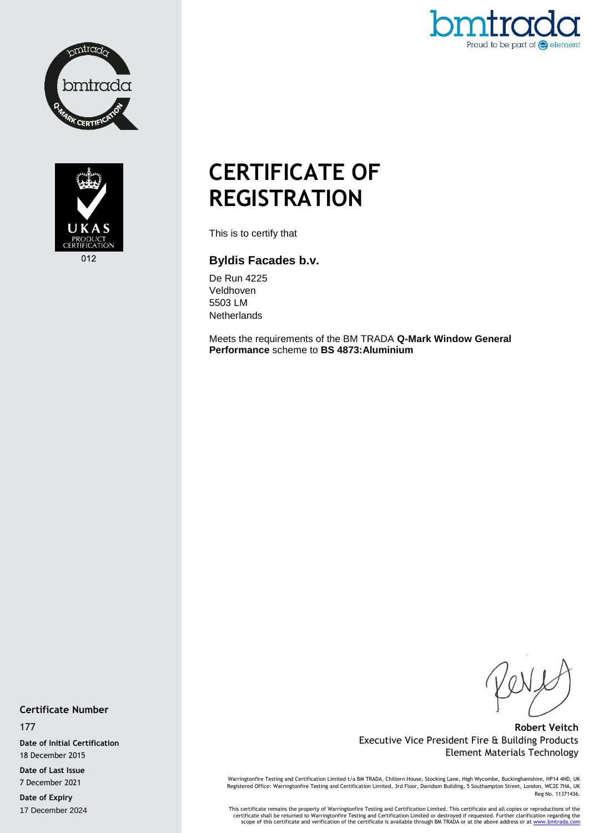



Proud to be part of  $\bigodot$  element

# **CERTIFICATE OF REGISTRATION**

This is to certify that

#### **Byldis Facades b.v.**

De Run 4225 Veldhoven 5503 LM **Netherlands** 

Meets the requirements of the BM TRADA **Q-Mark Window General Performance** scheme to **BS 4873:Aluminium**

#### **Certificate Number**

177

**Date of Initial Certification** 18 December 2015

**Date of Last Issue** 7 December 2021

**Date of Expiry** 17 December 2024

**Robert Veitch** Executive Vice President Fire & Building Products Element Materials Technology

Warringtonfire Testing and Certification Limited t/a BM TRADA, Chiltern House, Stocking Lane, High Wycombe, Buckinghamshire, HP14 4ND, UK<br>Registered Office: Warringtonfire Testing and Certification Limited, 3rd Floor, Davi Reg No. 11371436.

This certificate remains the property of Warringtonfire Testing and Certification Limited. This certificate and all copies or reproductions of the<br>Certificate shall be returned to Warringtonfire Testing and Certification L